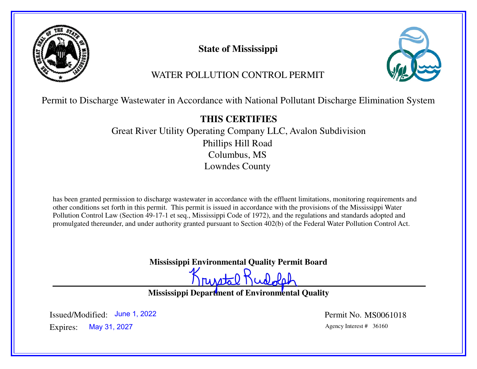

**State of Mississippi**



# WATER POLLUTION CONTROL PERMIT

Permit to Discharge Wastewater in Accordance with National Pollutant Discharge Elimination System

# **THIS CERTIFIES**

 Great River Utility Operating Company LLC, Avalon SubdivisionPhillips Hill RoadColumbus, MSLowndes County

has been granted permission to discharge wastewater in accordance with the effluent limitations, monitoring requirements and other conditions set forth in this permit. This permit is issued in accordance with the provisions of the Mississippi Water Pollution Control Law (Section 49-17-1 et seq., Mississippi Code of 1972), and the regulations and standards adopted and promulgated thereunder, and under authority granted pursuant to Section 402(b) of the Federal Water Pollution Control Act.

**Mississippi Environmental Quality Permit Board**

runtal Kudolah

**Mississippi Department of Environmental Quality**

Expires: Agency Interest # 36160 May 31, 2027Issued/Modified: June 1, 2022

Permit No. MS0061018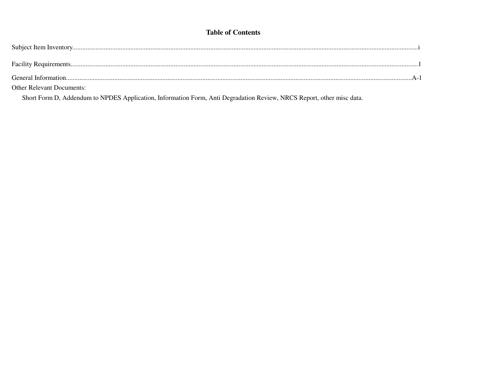### **Table of Contents**

| General Information.             |  |
|----------------------------------|--|
| <b>Other Relevant Documents:</b> |  |

Short Form D, Addendum to NPDES Application, Information Form, Anti Degradation Review, NRCS Report, other misc data.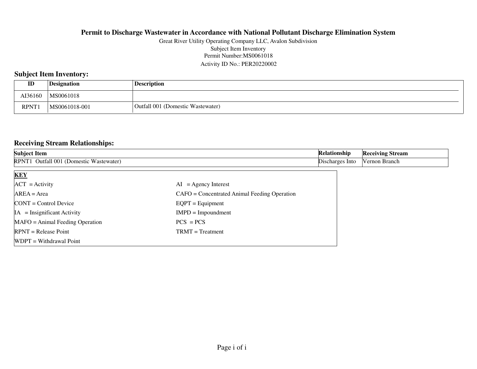#### Permit Number:MS0061018 Activity ID No.: PER20220002Great River Utility Operating Company LLC, Avalon SubdivisionSubject Item Inventory

### **Subject Item Inventory:**

| ID          | Designation   | <b>Description</b>                     |
|-------------|---------------|----------------------------------------|
| AI36160     | MS0061018     |                                        |
| <b>RPNT</b> | MS0061018-001 | 1 (Domestic Wastewater)<br>Outfall 001 |

### **Receiving Stream Relationships:**

| <b>Subject Item</b>                     | <b>Relationship</b>                          | <b>Receiving Stream</b> |               |
|-----------------------------------------|----------------------------------------------|-------------------------|---------------|
| RPNT1 Outfall 001 (Domestic Wastewater) |                                              | Discharges Into         | Vernon Branch |
| <b>KEY</b>                              |                                              |                         |               |
| $ ACT $ = Activity                      | $AI = Agency Interest$                       |                         |               |
| $AREA = Area$                           | CAFO = Concentrated Animal Feeding Operation |                         |               |
| $\text{CONT} = \text{Control Device}$   | $EQPT =$ Equipment                           |                         |               |
| $IA = Insignificant Activity$           | $IMPD = Important$                           |                         |               |
| $MAFO = Animal Feeding Operation$       | $PCS = PCS$                                  |                         |               |
| $RPNT = Release Point$                  | $TRMT = Treatment$                           |                         |               |
| WDPT = Withdrawal Point                 |                                              |                         |               |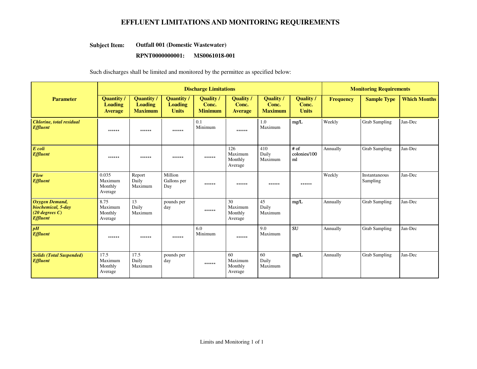### **EFFLUENT LIMITATIONS AND MONITORING REQUIREMENTS**

#### **Outfall 001 (Domestic Wastewater)Subject Item:**

#### **RPNT0000000001: MS0061018-001**

Such discharges shall be limited and monitored by the permittee as specified below:

|                                                                                    | <b>Discharge Limitations</b>                          |                                                       |                                             |                                     |                                             | <b>Monitoring Requirements</b>            |                                           |                  |                           |                     |
|------------------------------------------------------------------------------------|-------------------------------------------------------|-------------------------------------------------------|---------------------------------------------|-------------------------------------|---------------------------------------------|-------------------------------------------|-------------------------------------------|------------------|---------------------------|---------------------|
| <b>Parameter</b>                                                                   | <b>Quantity</b> /<br><b>Loading</b><br><b>Average</b> | <b>Quantity</b> /<br><b>Loading</b><br><b>Maximum</b> | Quantity/<br><b>Loading</b><br><b>Units</b> | Quality/<br>Conc.<br><b>Minimum</b> | <b>Quality</b> /<br>Conc.<br><b>Average</b> | <b>Quality</b><br>Conc.<br><b>Maximum</b> | <b>Quality</b> /<br>Conc.<br><b>Units</b> | <b>Frequency</b> | <b>Sample Type</b>        | <b>Which Months</b> |
| <b>Chlorine</b> , total residual<br><b>Effluent</b>                                | ******                                                | ******                                                | ******                                      | 0.1<br>Minimum                      | ******                                      | 1.0<br>Maximum                            | mg/L                                      | Weekly           | <b>Grab Sampling</b>      | Jan-Dec             |
| E coli<br><b>Effluent</b>                                                          | ******                                                | ******                                                | ******                                      | ******                              | 126<br>Maximum<br>Monthly<br>Average        | 410<br>Daily<br>Maximum                   | # of<br>colonies/100<br>ml                | Annually         | <b>Grab Sampling</b>      | Jan-Dec             |
| Flow<br><b>Effluent</b>                                                            | 0.035<br>Maximum<br>Monthly<br>Average                | Report<br>Daily<br>Maximum                            | Million<br>Gallons per<br>Day               | ******                              | ******                                      | ******                                    | ******                                    | Weekly           | Instantaneous<br>Sampling | Jan-Dec             |
| <b>Oxygen Demand,</b><br>biochemical, 5-day<br>$(20$ degrees C)<br><b>Effluent</b> | 8.75<br>Maximum<br>Monthly<br>Average                 | 13<br>Daily<br>Maximum                                | pounds per<br>day                           | ******                              | 30<br>Maximum<br>Monthly<br>Average         | 45<br>Daily<br>Maximum                    | mg/L                                      | Annually         | Grab Sampling             | Jan-Dec             |
| pH<br><b>Effluent</b>                                                              | ******                                                | ******                                                | ******                                      | 6.0<br>Minimum                      | ******                                      | 9.0<br>Maximum                            | <b>SU</b>                                 | Annually         | <b>Grab Sampling</b>      | Jan-Dec             |
| <b>Solids (Total Suspended)</b><br><b>Effluent</b>                                 | 17.5<br>Maximum<br>Monthly<br>Average                 | 17.5<br>Daily<br>Maximum                              | pounds per<br>day                           | ******                              | 60<br>Maximum<br>Monthly<br>Average         | 60<br>Daily<br>Maximum                    | mg/L                                      | Annually         | <b>Grab Sampling</b>      | Jan-Dec             |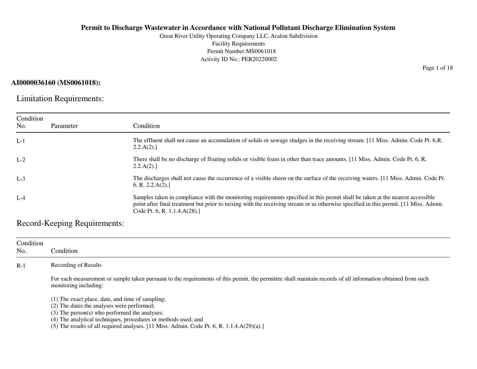Great River Utility Operating Company LLC, Avalon SubdivisionFacility Requirements Permit Number:MS0061018Activity ID No.: PER20220002

### **AI0000036160 (MS0061018):**

Limitation Requirements:

| Condition<br>No. | Parameter | Condition                                                                                                                                                                                                                                                                                              |
|------------------|-----------|--------------------------------------------------------------------------------------------------------------------------------------------------------------------------------------------------------------------------------------------------------------------------------------------------------|
| $L-1$            |           | The effluent shall not cause an accumulation of solids or sewage sludges in the receiving stream. [11 Miss. Admin. Code Pt. 6,R.<br>2.2.A(2).                                                                                                                                                          |
| $L-2$            |           | There shall be no discharge of floating solids or visible foam in other than trace amounts. [11 Miss. Admin. Code Pt. 6, R.<br>2.2.A(2).                                                                                                                                                               |
| $L-3$            |           | The discharges shall not cause the occurrence of a visible sheen on the surface of the receiving waters. [11 Miss. Admin. Code Pt.<br>6, R. 2.2.A(2).                                                                                                                                                  |
| $L-4$            |           | Samples taken in compliance with the monitoring requirements specified in this permit shall be taken at the nearest accessible<br>point after final treatment but prior to mixing with the receiving stream or as otherwise specified in this permit. [11 Miss. Admin.<br>Code Pt. 6, R. 1.1.4.A(28).] |

Record-Keeping Requirements:

| Condition<br>No. | Condition                                                                                                                                                                             |
|------------------|---------------------------------------------------------------------------------------------------------------------------------------------------------------------------------------|
| $R-1$            | Recording of Results                                                                                                                                                                  |
|                  | For each measurement or sample taken pursuant to the requirements of this permit, the permittee shall maintain records of all information obtained from such<br>monitoring including: |
|                  | (1) The exact place, date, and time of sampling;                                                                                                                                      |
|                  | (2) The dates the analyses were performed;                                                                                                                                            |
|                  | $(3)$ The person $(s)$ who performed the analyses;                                                                                                                                    |
|                  | (4) The analytical techniques, procedures or methods used; and                                                                                                                        |
|                  | (5) The results of all required analyses. [11 Miss. Admin. Code Pt. 6, R. $1.1.4.A(29)(a).$ ]                                                                                         |

Page 1 of 18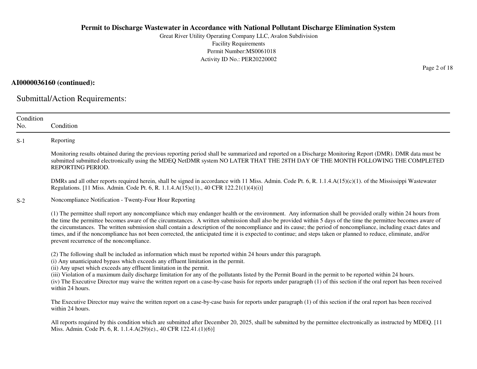Great River Utility Operating Company LLC, Avalon SubdivisionFacility Requirements Permit Number:MS0061018Activity ID No.: PER20220002

### **AI0000036160 (continued):**

Submittal/Action Requirements:

| Condition<br>No. | Condition                                                                                                                                                                                                                                                                                                                                                                                                                                                                                                                                                                                                                                                                                                           |
|------------------|---------------------------------------------------------------------------------------------------------------------------------------------------------------------------------------------------------------------------------------------------------------------------------------------------------------------------------------------------------------------------------------------------------------------------------------------------------------------------------------------------------------------------------------------------------------------------------------------------------------------------------------------------------------------------------------------------------------------|
| $S-1$            | Reporting                                                                                                                                                                                                                                                                                                                                                                                                                                                                                                                                                                                                                                                                                                           |
|                  | Monitoring results obtained during the previous reporting period shall be summarized and reported on a Discharge Monitoring Report (DMR). DMR data must be<br>submitted submitted electronically using the MDEQ NetDMR system NO LATER THAT THE 28TH DAY OF THE MONTH FOLLOWING THE COMPLETED<br>REPORTING PERIOD.                                                                                                                                                                                                                                                                                                                                                                                                  |
|                  | DMRs and all other reports required herein, shall be signed in accordance with 11 Miss. Admin. Code Pt. 6, R. 1.1.4.A(15)(c)(1). of the Mississippi Wastewater<br>Regulations. [11 Miss. Admin. Code Pt. 6, R. 1.1.4.A(15)c(1)., 40 CFR 122.21(1)(4)(i)]                                                                                                                                                                                                                                                                                                                                                                                                                                                            |
| $S-2$            | Noncompliance Notification - Twenty-Four Hour Reporting                                                                                                                                                                                                                                                                                                                                                                                                                                                                                                                                                                                                                                                             |
|                  | (1) The permittee shall report any noncompliance which may endanger health or the environment. Any information shall be provided orally within 24 hours from<br>the time the permittee becomes aware of the circumstances. A written submission shall also be provided within 5 days of the time the permittee becomes aware of<br>the circumstances. The written submission shall contain a description of the noncompliance and its cause; the period of noncompliance, including exact dates and<br>times, and if the noncompliance has not been corrected, the anticipated time it is expected to continue; and steps taken or planned to reduce, eliminate, and/or<br>prevent recurrence of the noncompliance. |
|                  | (2) The following shall be included as information which must be reported within 24 hours under this paragraph.<br>(i) Any unanticipated bypass which exceeds any effluent limitation in the permit.<br>(ii) Any upset which exceeds any effluent limitation in the permit.<br>(iii) Violation of a maximum daily discharge limitation for any of the pollutants listed by the Permit Board in the permit to be reported within 24 hours.<br>(iv) The Executive Director may waive the written report on a case-by-case basis for reports under paragraph (1) of this section if the oral report has been received<br>within 24 hours.                                                                              |
|                  | The Executive Director may waive the written report on a case-by-case basis for reports under paragraph (1) of this section if the oral report has been received<br>within 24 hours.                                                                                                                                                                                                                                                                                                                                                                                                                                                                                                                                |
|                  | All reports required by this condition which are submitted after December 20, 2025, shall be submitted by the permittee electronically as instructed by MDEQ. [11]<br>Miss. Admin. Code Pt. 6, R. 1.1.4.A(29)(e)., 40 CFR 122.41.(1)(6)]                                                                                                                                                                                                                                                                                                                                                                                                                                                                            |

Page 2 of 18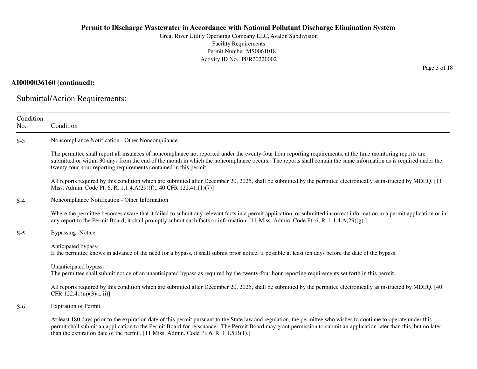Great River Utility Operating Company LLC, Avalon SubdivisionFacility Requirements Permit Number:MS0061018Activity ID No.: PER20220002

### **AI0000036160 (continued):**

Submittal/Action Requirements:

| Condition<br>No. | Condition                                                                                                                                                                                                                                                                                                                                                                                                                               |
|------------------|-----------------------------------------------------------------------------------------------------------------------------------------------------------------------------------------------------------------------------------------------------------------------------------------------------------------------------------------------------------------------------------------------------------------------------------------|
| $S-3$            | Noncompliance Notification - Other Noncompliance                                                                                                                                                                                                                                                                                                                                                                                        |
|                  | The permittee shall report all instances of noncompliance not reported under the twenty-four hour reporting requirements, at the time monitoring reports are<br>submitted or within 30 days from the end of the month in which the noncompliance occurs. The reports shall contain the same information as is required under the<br>twenty-four hour reporting requirements contained in this permit.                                   |
|                  | All reports required by this condition which are submitted after December 20, 2025, shall be submitted by the permittee electronically as instructed by MDEQ. [11]<br>Miss. Admin. Code Pt. 6, R. 1.1.4.A(29)(f)., 40 CFR 122.41.(1)(7)]                                                                                                                                                                                                |
| $S-4$            | Noncompliance Notification - Other Information                                                                                                                                                                                                                                                                                                                                                                                          |
|                  | Where the permittee becomes aware that it failed to submit any relevant facts in a permit application, or submitted incorrect information in a permit application or in<br>any report to the Permit Board, it shall promptly submit such facts or information. [11 Miss. Admin. Code Pt. 6, R. 1.1.4.A(29)(g).]                                                                                                                         |
| $S-5$            | <b>Bypassing -Notice</b>                                                                                                                                                                                                                                                                                                                                                                                                                |
|                  | Anticipated bypass-<br>If the permittee knows in advance of the need for a bypass, it shall submit prior notice, if possible at least ten days before the date of the bypass.                                                                                                                                                                                                                                                           |
|                  | Unanticipated bypass-<br>The permittee shall submit notice of an unanticipated bypass as required by the twenty-four hour reporting requirements set forth in this permit.                                                                                                                                                                                                                                                              |
|                  | All reports required by this condition which are submitted after December 20, 2025, shall be submitted by the permittee electronically as instructed by MDEQ. [40]<br>CFR $122.41(m)(3)(i, ii)$ ]                                                                                                                                                                                                                                       |
| $S-6$            | <b>Expiration of Permit</b>                                                                                                                                                                                                                                                                                                                                                                                                             |
|                  | At least 180 days prior to the expiration date of this permit pursuant to the State law and regulation, the permittee who wishes to continue to operate under this<br>permit shall submit an application to the Permit Board for reissuance. The Permit Board may grant permission to submit an application later than this, but no later<br>than the expiration date of the permit. $[11$ Miss. Admin. Code Pt. 6, R. 1.1.5. $B(1)$ .] |

Page 3 of 18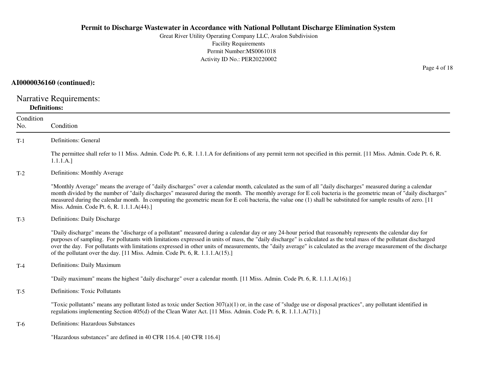Great River Utility Operating Company LLC, Avalon SubdivisionFacility Requirements Permit Number:MS0061018Activity ID No.: PER20220002

### **AI0000036160 (continued):**

Narrative Requirements: **Definitions:**

| Condition<br>No. | Condition                                                                                                                                                                                                                                                                                                                                                                                                                                                                                                                                                                                   |
|------------------|---------------------------------------------------------------------------------------------------------------------------------------------------------------------------------------------------------------------------------------------------------------------------------------------------------------------------------------------------------------------------------------------------------------------------------------------------------------------------------------------------------------------------------------------------------------------------------------------|
| $T-1$            | <b>Definitions: General</b>                                                                                                                                                                                                                                                                                                                                                                                                                                                                                                                                                                 |
|                  | The permittee shall refer to 11 Miss. Admin. Code Pt. 6, R. 1.1.1.A for definitions of any permit term not specified in this permit. [11 Miss. Admin. Code Pt. 6, R.<br>1.1.1.A.]                                                                                                                                                                                                                                                                                                                                                                                                           |
| $T-2$            | Definitions: Monthly Average                                                                                                                                                                                                                                                                                                                                                                                                                                                                                                                                                                |
|                  | "Monthly Average" means the average of "daily discharges" over a calendar month, calculated as the sum of all "daily discharges" measured during a calendar<br>month divided by the number of "daily discharges" measured during the month. The monthly average for E coli bacteria is the geometric mean of "daily discharges"<br>measured during the calendar month. In computing the geometric mean for E coli bacteria, the value one (1) shall be substituted for sample results of zero. [11]<br>Miss. Admin. Code Pt. 6, R. 1.1.1.A(44).]                                            |
| $T-3$            | Definitions: Daily Discharge                                                                                                                                                                                                                                                                                                                                                                                                                                                                                                                                                                |
|                  | "Daily discharge" means the "discharge of a pollutant" measured during a calendar day or any 24-hour period that reasonably represents the calendar day for<br>purposes of sampling. For pollutants with limitations expressed in units of mass, the "daily discharge" is calculated as the total mass of the pollutant discharged<br>over the day. For pollutants with limitations expressed in other units of measurements, the "daily average" is calculated as the average measurement of the discharge<br>of the pollutant over the day. [11 Miss. Admin. Code Pt. 6, R. 1.1.1.A(15).] |
| $T-4$            | Definitions: Daily Maximum                                                                                                                                                                                                                                                                                                                                                                                                                                                                                                                                                                  |
|                  | "Daily maximum" means the highest "daily discharge" over a calendar month. [11 Miss. Admin. Code Pt. 6, R. 1.1.1.A(16).]                                                                                                                                                                                                                                                                                                                                                                                                                                                                    |
| $T-5$            | <b>Definitions: Toxic Pollutants</b>                                                                                                                                                                                                                                                                                                                                                                                                                                                                                                                                                        |
|                  | "Toxic pollutants" means any pollutant listed as toxic under Section $307(a)(1)$ or, in the case of "sludge use or disposal practices", any pollutant identified in<br>regulations implementing Section 405(d) of the Clean Water Act. [11 Miss. Admin. Code Pt. 6, R. 1.1.1.A(71).]                                                                                                                                                                                                                                                                                                        |
| $T-6$            | <b>Definitions: Hazardous Substances</b>                                                                                                                                                                                                                                                                                                                                                                                                                                                                                                                                                    |
|                  | "Hazardous substances" are defined in 40 CFR 116.4. [40 CFR 116.4]                                                                                                                                                                                                                                                                                                                                                                                                                                                                                                                          |

Page 4 of 18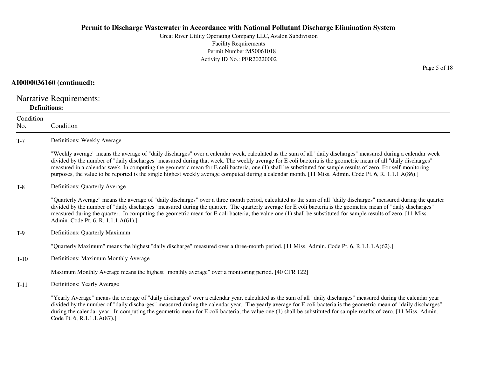Great River Utility Operating Company LLC, Avalon SubdivisionFacility Requirements Permit Number:MS0061018Activity ID No.: PER20220002

#### **AI0000036160 (continued):**

Narrative Requirements:**Definitions:**

ConditionNo. ConditionT-7 Definitions: Weekly Average "Weekly average" means the average of "daily discharges" over a calendar week, calculated as the sum of all "daily discharges" measured during a calendar weekdivided by the number of "daily discharges" measured during that week. The weekly average for E coli bacteria is the geometric mean of all "daily discharges" measured in a calendar week. In computing the geometric mean for E coli bacteria, one (1) shall be substituted for sample results of zero. For self-monitoringpurposes, the value to be reported is the single highest weekly average computed during a calendar month. [11 Miss. Admin. Code Pt. 6, R. 1.1.1.A(86).]T-8 Definitions: Quarterly Average "Quarterly Average" means the average of "daily discharges" over a three month period, calculated as the sum of all "daily discharges" measured during the quarterdivided by the number of "daily discharges" measured during the quarter. The quarterly average for E coli bacteria is the geometric mean of "daily discharges"measured during the quarter. In computing the geometric mean for E coli bacteria, the value one (1) shall be substituted for sample results of zero. [11 Miss.Admin. Code Pt. 6, R. 1.1.1.A(61).]T-9 Definitions: Quarterly Maximum"Quarterly Maximum" means the highest "daily discharge" measured over a three-month period. [11 Miss. Admin. Code Pt. 6, R.1.1.1.A(62).]T-10 Definitions: Maximum Monthly Average Maximum Monthly Average means the highest "monthly average" over a monitoring period. [40 CFR 122]T-11 Definitions: Yearly Average "Yearly Average" means the average of "daily discharges" over a calendar year, calculated as the sum of all "daily discharges" measured during the calendar year divided by the number of "daily discharges" measured during the calendar year. The yearly average for E coli bacteria is the geometric mean of "daily discharges"during the calendar year. In computing the geometric mean for E coli bacteria, the value one (1) shall be substituted for sample results of zero. [11 Miss. Admin. Code Pt. 6, R.1.1.1.A(87).]

Page 5 of 18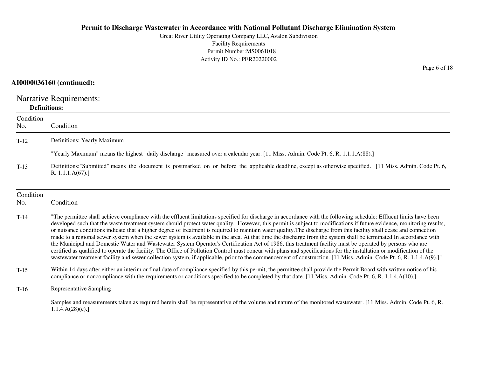Great River Utility Operating Company LLC, Avalon SubdivisionFacility Requirements Permit Number:MS0061018Activity ID No.: PER20220002

### **AI0000036160 (continued):**

Narrative Requirements: **Definitions:**

| Condition<br>No. | Condition                                                                                                                                                                                                                                                                                                                                                                                                                                                                                                                                                                                                                                                                                                                                                                                                                                                                                                                                                                                                                                                                                                                                                                                            |
|------------------|------------------------------------------------------------------------------------------------------------------------------------------------------------------------------------------------------------------------------------------------------------------------------------------------------------------------------------------------------------------------------------------------------------------------------------------------------------------------------------------------------------------------------------------------------------------------------------------------------------------------------------------------------------------------------------------------------------------------------------------------------------------------------------------------------------------------------------------------------------------------------------------------------------------------------------------------------------------------------------------------------------------------------------------------------------------------------------------------------------------------------------------------------------------------------------------------------|
| $T-12$           | Definitions: Yearly Maximum                                                                                                                                                                                                                                                                                                                                                                                                                                                                                                                                                                                                                                                                                                                                                                                                                                                                                                                                                                                                                                                                                                                                                                          |
|                  | "Yearly Maximum" means the highest "daily discharge" measured over a calendar year. [11 Miss. Admin. Code Pt. 6, R. 1.1.1.A(88).]                                                                                                                                                                                                                                                                                                                                                                                                                                                                                                                                                                                                                                                                                                                                                                                                                                                                                                                                                                                                                                                                    |
| $T-13$           | Definitions:"Submitted" means the document is postmarked on or before the applicable deadline, except as otherwise specified. [11 Miss. Admin. Code Pt. 6,<br>R. 1.1.1.A(67).                                                                                                                                                                                                                                                                                                                                                                                                                                                                                                                                                                                                                                                                                                                                                                                                                                                                                                                                                                                                                        |
| Condition<br>No. | Condition                                                                                                                                                                                                                                                                                                                                                                                                                                                                                                                                                                                                                                                                                                                                                                                                                                                                                                                                                                                                                                                                                                                                                                                            |
| $T-14$           | "The permittee shall achieve compliance with the effluent limitations specified for discharge in accordance with the following schedule: Effluent limits have been<br>developed such that the waste treatment system should protect water quality. However, this permit is subject to modifications if future evidence, monitoring results,<br>or nuisance conditions indicate that a higher degree of treatment is required to maintain water quality. The discharge from this facility shall cease and connection<br>made to a regional sewer system when the sewer system is available in the area. At that time the discharge from the system shall be terminated. In accordance with<br>the Municipal and Domestic Water and Wastewater System Operator's Certification Act of 1986, this treatment facility must be operated by persons who are<br>certified as qualified to operate the facility. The Office of Pollution Control must concur with plans and specifications for the installation or modification of the<br>wastewater treatment facility and sewer collection system, if applicable, prior to the commencement of construction. [11 Miss. Admin. Code Pt. 6, R. 1.1.4.A(9).]" |
| $T-15$           | Within 14 days after either an interim or final date of compliance specified by this permit, the permittee shall provide the Permit Board with written notice of his<br>compliance or noncompliance with the requirements or conditions specified to be completed by that date. [11 Miss. Admin. Code Pt. 6, R. 1.1.4.A(10).]                                                                                                                                                                                                                                                                                                                                                                                                                                                                                                                                                                                                                                                                                                                                                                                                                                                                        |
| $T-16$           | <b>Representative Sampling</b>                                                                                                                                                                                                                                                                                                                                                                                                                                                                                                                                                                                                                                                                                                                                                                                                                                                                                                                                                                                                                                                                                                                                                                       |
|                  | Samples and measurements taken as required herein shall be representative of the volume and nature of the monitored wastewater. [11 Miss. Admin. Code Pt. 6, R.<br>1.1.4.A(28)(e).                                                                                                                                                                                                                                                                                                                                                                                                                                                                                                                                                                                                                                                                                                                                                                                                                                                                                                                                                                                                                   |

Page 6 of 18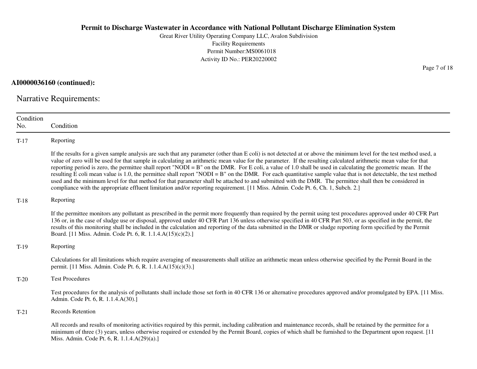Great River Utility Operating Company LLC, Avalon SubdivisionFacility Requirements Permit Number:MS0061018Activity ID No.: PER20220002

**AI0000036160 (continued):**

Narrative Requirements:

| Condition<br>No. | Condition                                                                                                                                                                                                                                                                                                                                                                                                                                                                                                                                                                                                                                                                                                                                                                                                                                                                                                                                                                         |
|------------------|-----------------------------------------------------------------------------------------------------------------------------------------------------------------------------------------------------------------------------------------------------------------------------------------------------------------------------------------------------------------------------------------------------------------------------------------------------------------------------------------------------------------------------------------------------------------------------------------------------------------------------------------------------------------------------------------------------------------------------------------------------------------------------------------------------------------------------------------------------------------------------------------------------------------------------------------------------------------------------------|
| $T-17$           | Reporting                                                                                                                                                                                                                                                                                                                                                                                                                                                                                                                                                                                                                                                                                                                                                                                                                                                                                                                                                                         |
|                  | If the results for a given sample analysis are such that any parameter (other than E coli) is not detected at or above the minimum level for the test method used, a<br>value of zero will be used for that sample in calculating an arithmetic mean value for the parameter. If the resulting calculated arithmetic mean value for that<br>reporting period is zero, the permittee shall report "NODI = $B$ " on the DMR. For E coli, a value of 1.0 shall be used in calculating the geometric mean. If the<br>resulting E coli mean value is 1.0, the permittee shall report "NODI = B" on the DMR. For each quantitative sample value that is not detectable, the test method<br>used and the minimum level for that method for that parameter shall be attached to and submitted with the DMR. The permittee shall then be considered in<br>compliance with the appropriate effluent limitation and/or reporting requirement. [11 Miss. Admin. Code Pt. 6, Ch. 1, Subch. 2.] |
| $T-18$           | Reporting                                                                                                                                                                                                                                                                                                                                                                                                                                                                                                                                                                                                                                                                                                                                                                                                                                                                                                                                                                         |
|                  | If the permittee monitors any pollutant as prescribed in the permit more frequently than required by the permit using test procedures approved under 40 CFR Part<br>136 or, in the case of sludge use or disposal, approved under 40 CFR Part 136 unless otherwise specified in 40 CFR Part 503, or as specified in the permit, the<br>results of this monitoring shall be included in the calculation and reporting of the data submitted in the DMR or sludge reporting form specified by the Permit<br>Board. [11 Miss. Admin. Code Pt. 6, R. 1.1.4.A(15)(c)(2).]                                                                                                                                                                                                                                                                                                                                                                                                              |
| $T-19$           | Reporting                                                                                                                                                                                                                                                                                                                                                                                                                                                                                                                                                                                                                                                                                                                                                                                                                                                                                                                                                                         |
|                  | Calculations for all limitations which require averaging of measurements shall utilize an arithmetic mean unless otherwise specified by the Permit Board in the<br>permit. [11 Miss. Admin. Code Pt. 6, R. 1.1.4.A(15)(c)(3).]                                                                                                                                                                                                                                                                                                                                                                                                                                                                                                                                                                                                                                                                                                                                                    |
| $T-20$           | <b>Test Procedures</b>                                                                                                                                                                                                                                                                                                                                                                                                                                                                                                                                                                                                                                                                                                                                                                                                                                                                                                                                                            |
|                  | Test procedures for the analysis of pollutants shall include those set forth in 40 CFR 136 or alternative procedures approved and/or promulgated by EPA. [11 Miss.]<br>Admin. Code Pt. 6, R. 1.1.4.A(30).]                                                                                                                                                                                                                                                                                                                                                                                                                                                                                                                                                                                                                                                                                                                                                                        |
| $T-21$           | <b>Records Retention</b>                                                                                                                                                                                                                                                                                                                                                                                                                                                                                                                                                                                                                                                                                                                                                                                                                                                                                                                                                          |
|                  | All records and results of monitoring activities required by this permit, including calibration and maintenance records, shall be retained by the permittee for a<br>minimum of three (3) years, unless otherwise required or extended by the Permit Board, copies of which shall be furnished to the Department upon request. [11]<br>Miss. Admin. Code Pt. 6, R. 1.1.4.A(29)(a).]                                                                                                                                                                                                                                                                                                                                                                                                                                                                                                                                                                                               |

Page 7 of 18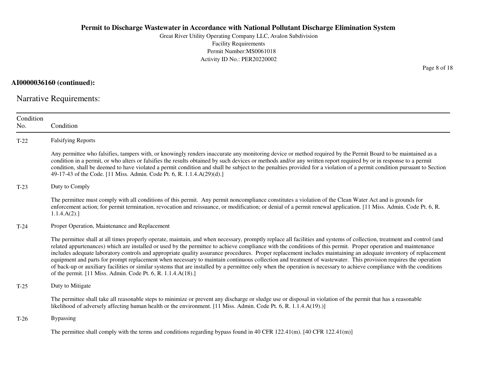Great River Utility Operating Company LLC, Avalon SubdivisionFacility Requirements Permit Number:MS0061018Activity ID No.: PER20220002

**AI0000036160 (continued):**

Narrative Requirements:

| Condition<br>No. | Condition                                                                                                                                                                                                                                                                                                                                                                                                                                                                                                                                                                                                                                                                                                                                                                                                                                                                                                                |
|------------------|--------------------------------------------------------------------------------------------------------------------------------------------------------------------------------------------------------------------------------------------------------------------------------------------------------------------------------------------------------------------------------------------------------------------------------------------------------------------------------------------------------------------------------------------------------------------------------------------------------------------------------------------------------------------------------------------------------------------------------------------------------------------------------------------------------------------------------------------------------------------------------------------------------------------------|
| $T-22$           | <b>Falsifying Reports</b>                                                                                                                                                                                                                                                                                                                                                                                                                                                                                                                                                                                                                                                                                                                                                                                                                                                                                                |
|                  | Any permittee who falsifies, tampers with, or knowingly renders inaccurate any monitoring device or method required by the Permit Board to be maintained as a<br>condition in a permit, or who alters or falsifies the results obtained by such devices or methods and/or any written report required by or in response to a permit<br>condition, shall be deemed to have violated a permit condition and shall be subject to the penalties provided for a violation of a permit condition pursuant to Section<br>49-17-43 of the Code. [11 Miss. Admin. Code Pt. 6, R. 1.1.4.A(29)(d).]                                                                                                                                                                                                                                                                                                                                 |
| $T-23$           | Duty to Comply                                                                                                                                                                                                                                                                                                                                                                                                                                                                                                                                                                                                                                                                                                                                                                                                                                                                                                           |
|                  | The permittee must comply with all conditions of this permit. Any permit noncompliance constitutes a violation of the Clean Water Act and is grounds for<br>enforcement action; for permit termination, revocation and reissuance, or modification; or denial of a permit renewal application. [11 Miss. Admin. Code Pt. 6, R.<br>1.1.4.A(2).                                                                                                                                                                                                                                                                                                                                                                                                                                                                                                                                                                            |
| $T-24$           | Proper Operation, Maintenance and Replacement                                                                                                                                                                                                                                                                                                                                                                                                                                                                                                                                                                                                                                                                                                                                                                                                                                                                            |
|                  | The permittee shall at all times properly operate, maintain, and when necessary, promptly replace all facilities and systems of collection, treatment and control (and<br>related appurtenances) which are installed or used by the permittee to achieve compliance with the conditions of this permit. Proper operation and maintenance<br>includes adequate laboratory controls and appropriate quality assurance procedures. Proper replacement includes maintaining an adequate inventory of replacement<br>equipment and parts for prompt replacement when necessary to maintain continuous collection and treatment of wastewater. This provision requires the operation<br>of back-up or auxiliary facilities or similar systems that are installed by a permittee only when the operation is necessary to achieve compliance with the conditions<br>of the permit. [11 Miss. Admin. Code Pt. 6, R. 1.1.4.A(18).] |
| $T-25$           | Duty to Mitigate                                                                                                                                                                                                                                                                                                                                                                                                                                                                                                                                                                                                                                                                                                                                                                                                                                                                                                         |
|                  | The permittee shall take all reasonable steps to minimize or prevent any discharge or sludge use or disposal in violation of the permit that has a reasonable<br>likelihood of adversely affecting human health or the environment. [11 Miss. Admin. Code Pt. 6, R. 1.1.4.A(19).)]                                                                                                                                                                                                                                                                                                                                                                                                                                                                                                                                                                                                                                       |
| $T-26$           | <b>Bypassing</b>                                                                                                                                                                                                                                                                                                                                                                                                                                                                                                                                                                                                                                                                                                                                                                                                                                                                                                         |
|                  | The permittee shall comply with the terms and conditions regarding bypass found in 40 CFR $122.41(m)$ . [40 CFR $122.41(m)$ ]                                                                                                                                                                                                                                                                                                                                                                                                                                                                                                                                                                                                                                                                                                                                                                                            |

Page 8 of 18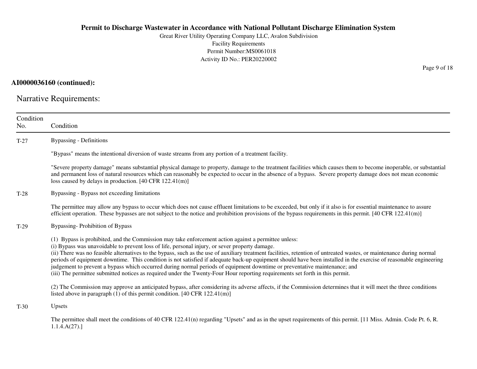Great River Utility Operating Company LLC, Avalon SubdivisionFacility Requirements Permit Number:MS0061018Activity ID No.: PER20220002

### **AI0000036160 (continued):**

Narrative Requirements:

| Condition<br>No. | Condition                                                                                                                                                                                                                                                                                                                                                                                                                                                                                                                                                                                                                                                                                                                                                                                                          |
|------------------|--------------------------------------------------------------------------------------------------------------------------------------------------------------------------------------------------------------------------------------------------------------------------------------------------------------------------------------------------------------------------------------------------------------------------------------------------------------------------------------------------------------------------------------------------------------------------------------------------------------------------------------------------------------------------------------------------------------------------------------------------------------------------------------------------------------------|
| $T-27$           | <b>Bypassing - Definitions</b>                                                                                                                                                                                                                                                                                                                                                                                                                                                                                                                                                                                                                                                                                                                                                                                     |
|                  | "Bypass" means the intentional diversion of waste streams from any portion of a treatment facility.                                                                                                                                                                                                                                                                                                                                                                                                                                                                                                                                                                                                                                                                                                                |
|                  | "Severe property damage" means substantial physical damage to property, damage to the treatment facilities which causes them to become inoperable, or substantial<br>and permanent loss of natural resources which can reasonably be expected to occur in the absence of a bypass. Severe property damage does not mean economic<br>loss caused by delays in production. [40 CFR 122.41(m)]                                                                                                                                                                                                                                                                                                                                                                                                                        |
| $T-28$           | Bypassing - Bypass not exceeding limitations                                                                                                                                                                                                                                                                                                                                                                                                                                                                                                                                                                                                                                                                                                                                                                       |
|                  | The permittee may allow any bypass to occur which does not cause effluent limitations to be exceeded, but only if it also is for essential maintenance to assure<br>efficient operation. These bypasses are not subject to the notice and prohibition provisions of the bypass requirements in this permit. $[40 \text{ CFR } 122.41 \text{ (m)}]$                                                                                                                                                                                                                                                                                                                                                                                                                                                                 |
| $T-29$           | <b>Bypassing-Prohibition of Bypass</b>                                                                                                                                                                                                                                                                                                                                                                                                                                                                                                                                                                                                                                                                                                                                                                             |
|                  | (1) Bypass is prohibited, and the Commission may take enforcement action against a permittee unless:<br>(i) Bypass was unavoidable to prevent loss of life, personal injury, or sever property damage.<br>(ii) There was no feasible alternatives to the bypass, such as the use of auxiliary treatment facilities, retention of untreated wastes, or maintenance during normal<br>periods of equipment downtime. This condition is not satisfied if adequate back-up equipment should have been installed in the exercise of reasonable engineering<br>judgement to prevent a bypass which occurred during normal periods of equipment downtime or preventative maintenance; and<br>(iii) The permittee submitted notices as required under the Twenty-Four Hour reporting requirements set forth in this permit. |
|                  | (2) The Commission may approve an anticipated bypass, after considering its adverse affects, if the Commission determines that it will meet the three conditions<br>listed above in paragraph $(1)$ of this permit condition. [40 CFR 122.41(m)]                                                                                                                                                                                                                                                                                                                                                                                                                                                                                                                                                                   |
| $T-30$           | Upsets                                                                                                                                                                                                                                                                                                                                                                                                                                                                                                                                                                                                                                                                                                                                                                                                             |
|                  | The permittee shall meet the conditions of 40 CFR 122.41(n) regarding "Upsets" and as in the upset requirements of this permit. [11 Miss. Admin. Code Pt. 6, R.<br>1.1.4.A(27).                                                                                                                                                                                                                                                                                                                                                                                                                                                                                                                                                                                                                                    |

Page 9 of 18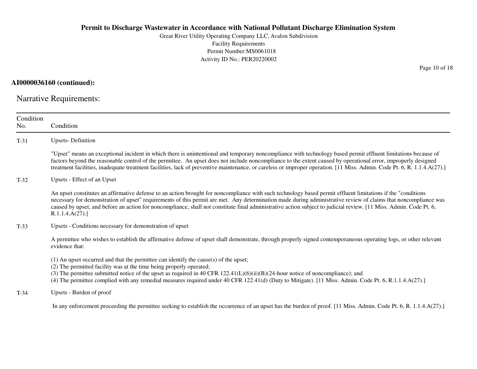Great River Utility Operating Company LLC, Avalon SubdivisionFacility Requirements Permit Number:MS0061018Activity ID No.: PER20220002

### **AI0000036160 (continued):**

Narrative Requirements:

| Condition<br>No. | Condition                                                                                                                                                                                                                                                                                                                                                                                                                                                                                                                |
|------------------|--------------------------------------------------------------------------------------------------------------------------------------------------------------------------------------------------------------------------------------------------------------------------------------------------------------------------------------------------------------------------------------------------------------------------------------------------------------------------------------------------------------------------|
| $T-31$           | <b>Upsets-Definition</b>                                                                                                                                                                                                                                                                                                                                                                                                                                                                                                 |
|                  | "Upset" means an exceptional incident in which there is unintentional and temporary noncompliance with technology based permit effluent limitations because of<br>factors beyond the reasonable control of the permittee. An upset does not include noncompliance to the extent caused by operational error, improperly designed<br>treatment facilities, inadequate treatment facilities, lack of preventive maintenance, or careless or improper operation. [11 Miss. Admin. Code Pt. 6, R. 1.1.4.A(27).]              |
| $T-32$           | Upsets - Effect of an Upset                                                                                                                                                                                                                                                                                                                                                                                                                                                                                              |
|                  | An upset constitutes an affirmative defense to an action brought for noncompliance with such technology based permit effluent limitations if the "conditions"<br>necessary for demonstration of upset" requirements of this permit are met. Any determination made during administrative review of claims that noncompliance was<br>caused by upset, and before an action for noncompliance, shall not constitute final administrative action subject to judicial review. [11 Miss. Admin. Code Pt. 6,<br>R.1.1.4.A(27). |
| $T-33$           | Upsets - Conditions necessary for demonstration of upset                                                                                                                                                                                                                                                                                                                                                                                                                                                                 |
|                  | A permittee who wishes to establish the affirmative defense of upset shall demonstrate, through properly signed contemporaneous operating logs, or other relevant<br>evidence that:                                                                                                                                                                                                                                                                                                                                      |
|                  | $(1)$ An upset occurred and that the permittee can identify the cause(s) of the upset;<br>(2) The permitted facility was at the time being properly operated;<br>(3) The permittee submitted notice of the upset as required in 40 CFR $122.41(L)(6)(ii)(B)(24$ -hour notice of noncompliance); and<br>(4) The permittee complied with any remedial measures required under 40 CFR 122.41(d) (Duty to Mitigate). [11 Miss. Admin. Code Pt. 6, R.1.1.4.A(27).]                                                            |
| $T-34$           | Upsets - Burden of proof                                                                                                                                                                                                                                                                                                                                                                                                                                                                                                 |
|                  | In any enforcement proceeding the permittee seeking to establish the occurrence of an upset has the burden of proof. [11 Miss. Admin. Code Pt. 6, R. 1.1.4.A(27).]                                                                                                                                                                                                                                                                                                                                                       |

Page 10 of 18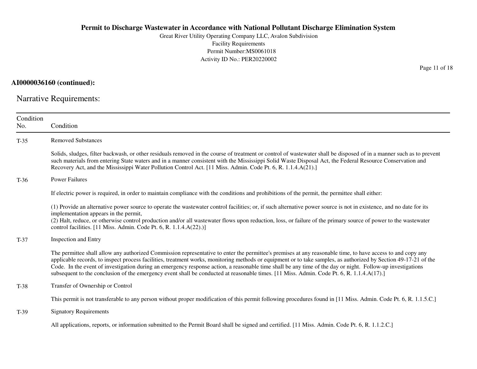Great River Utility Operating Company LLC, Avalon SubdivisionFacility Requirements Permit Number:MS0061018Activity ID No.: PER20220002

**AI0000036160 (continued):**

Narrative Requirements:

| Condition<br>No. | Condition                                                                                                                                                                                                                                                                                                                                                                                                                                                                                                                                                                                                                                  |
|------------------|--------------------------------------------------------------------------------------------------------------------------------------------------------------------------------------------------------------------------------------------------------------------------------------------------------------------------------------------------------------------------------------------------------------------------------------------------------------------------------------------------------------------------------------------------------------------------------------------------------------------------------------------|
| $T-35$           | <b>Removed Substances</b>                                                                                                                                                                                                                                                                                                                                                                                                                                                                                                                                                                                                                  |
|                  | Solids, sludges, filter backwash, or other residuals removed in the course of treatment or control of wastewater shall be disposed of in a manner such as to prevent<br>such materials from entering State waters and in a manner consistent with the Mississippi Solid Waste Disposal Act, the Federal Resource Conservation and<br>Recovery Act, and the Mississippi Water Pollution Control Act. [11 Miss. Admin. Code Pt. 6, R. 1.1.4.A(21).]                                                                                                                                                                                          |
| $T-36$           | <b>Power Failures</b>                                                                                                                                                                                                                                                                                                                                                                                                                                                                                                                                                                                                                      |
|                  | If electric power is required, in order to maintain compliance with the conditions and prohibitions of the permit, the permittee shall either:                                                                                                                                                                                                                                                                                                                                                                                                                                                                                             |
|                  | (1) Provide an alternative power source to operate the wastewater control facilities; or, if such alternative power source is not in existence, and no date for its<br>implementation appears in the permit,<br>(2) Halt, reduce, or otherwise control production and/or all wastewater flows upon reduction, loss, or failure of the primary source of power to the wastewater<br>control facilities. [11 Miss. Admin. Code Pt. 6, R. 1.1.4.A(22).)]                                                                                                                                                                                      |
| $T-37$           | Inspection and Entry                                                                                                                                                                                                                                                                                                                                                                                                                                                                                                                                                                                                                       |
|                  | The permittee shall allow any authorized Commission representative to enter the permittee's premises at any reasonable time, to have access to and copy any<br>applicable records, to inspect process facilities, treatment works, monitoring methods or equipment or to take samples, as authorized by Section 49-17-21 of the<br>Code. In the event of investigation during an emergency response action, a reasonable time shall be any time of the day or night. Follow-up investigations<br>subsequent to the conclusion of the emergency event shall be conducted at reasonable times. [11 Miss. Admin. Code Pt. 6, R. 1.1.4.A(17).] |
| $T-38$           | Transfer of Ownership or Control                                                                                                                                                                                                                                                                                                                                                                                                                                                                                                                                                                                                           |
|                  | This permit is not transferable to any person without proper modification of this permit following procedures found in [11 Miss. Admin. Code Pt. 6, R. 1.1.5.C.]                                                                                                                                                                                                                                                                                                                                                                                                                                                                           |
| $T-39$           | <b>Signatory Requirements</b>                                                                                                                                                                                                                                                                                                                                                                                                                                                                                                                                                                                                              |
|                  | All applications, reports, or information submitted to the Permit Board shall be signed and certified. [11 Miss. Admin. Code Pt. 6, R. 1.1.2.C.]                                                                                                                                                                                                                                                                                                                                                                                                                                                                                           |

Page 11 of 18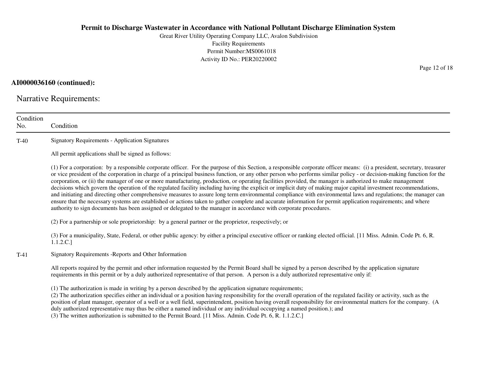Great River Utility Operating Company LLC, Avalon SubdivisionFacility Requirements Permit Number:MS0061018Activity ID No.: PER20220002

### **AI0000036160 (continued):**

Narrative Requirements:

| Condition<br>No. | Condition                                                                                                                                                                                                                                                                                                                                                                                                                                                                                                                                                                                                                                                                                                                                                                                                                                                                                                                                                                                                                                                                                                                                      |  |  |
|------------------|------------------------------------------------------------------------------------------------------------------------------------------------------------------------------------------------------------------------------------------------------------------------------------------------------------------------------------------------------------------------------------------------------------------------------------------------------------------------------------------------------------------------------------------------------------------------------------------------------------------------------------------------------------------------------------------------------------------------------------------------------------------------------------------------------------------------------------------------------------------------------------------------------------------------------------------------------------------------------------------------------------------------------------------------------------------------------------------------------------------------------------------------|--|--|
| $T-40$           | <b>Signatory Requirements - Application Signatures</b>                                                                                                                                                                                                                                                                                                                                                                                                                                                                                                                                                                                                                                                                                                                                                                                                                                                                                                                                                                                                                                                                                         |  |  |
|                  | All permit applications shall be signed as follows:                                                                                                                                                                                                                                                                                                                                                                                                                                                                                                                                                                                                                                                                                                                                                                                                                                                                                                                                                                                                                                                                                            |  |  |
|                  | (1) For a corporation: by a responsible corporate officer. For the purpose of this Section, a responsible corporate officer means: (i) a president, secretary, treasurer<br>or vice president of the corporation in charge of a principal business function, or any other person who performs similar policy - or decision-making function for the<br>corporation, or (ii) the manager of one or more manufacturing, production, or operating facilities provided, the manager is authorized to make management<br>decisions which govern the operation of the regulated facility including having the explicit or implicit duty of making major capital investment recommendations,<br>and initiating and directing other comprehensive measures to assure long term environmental compliance with environmental laws and regulations; the manager can<br>ensure that the necessary systems are established or actions taken to gather complete and accurate information for permit application requirements; and where<br>authority to sign documents has been assigned or delegated to the manager in accordance with corporate procedures. |  |  |
|                  | (2) For a partnership or sole proprietorship: by a general partner or the proprietor, respectively; or                                                                                                                                                                                                                                                                                                                                                                                                                                                                                                                                                                                                                                                                                                                                                                                                                                                                                                                                                                                                                                         |  |  |
|                  | (3) For a municipality, State, Federal, or other public agency: by either a principal executive officer or ranking elected official. [11 Miss. Admin. Code Pt. 6, R.<br>1.1.2.C.]                                                                                                                                                                                                                                                                                                                                                                                                                                                                                                                                                                                                                                                                                                                                                                                                                                                                                                                                                              |  |  |
| $T-41$           | Signatory Requirements - Reports and Other Information                                                                                                                                                                                                                                                                                                                                                                                                                                                                                                                                                                                                                                                                                                                                                                                                                                                                                                                                                                                                                                                                                         |  |  |
|                  | All reports required by the permit and other information requested by the Permit Board shall be signed by a person described by the application signature<br>requirements in this permit or by a duly authorized representative of that person. A person is a duly authorized representative only if:                                                                                                                                                                                                                                                                                                                                                                                                                                                                                                                                                                                                                                                                                                                                                                                                                                          |  |  |
|                  | (1) The authorization is made in writing by a person described by the application signature requirements;<br>(2) The authorization specifies either an individual or a position having responsibility for the overall operation of the regulated facility or activity, such as the<br>position of plant manager, operator of a well or a well field, superintendent, position having overall responsibility for environmental matters for the company. (A<br>duly authorized representative may thus be either a named individual or any individual occupying a named position.); and<br>(3) The written authorization is submitted to the Permit Board. [11 Miss. Admin. Code Pt. 6, R. 1.1.2.C.]                                                                                                                                                                                                                                                                                                                                                                                                                                             |  |  |

Page 12 of 18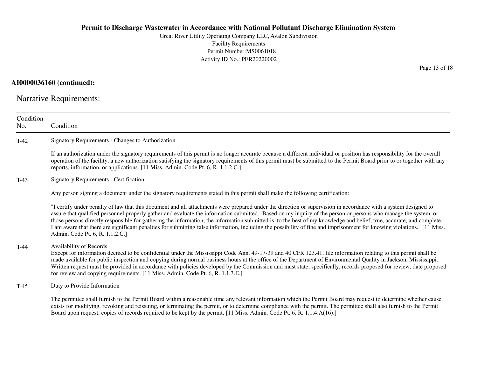Great River Utility Operating Company LLC, Avalon SubdivisionFacility Requirements Permit Number:MS0061018Activity ID No.: PER20220002

### **AI0000036160 (continued):**

Narrative Requirements:

| Condition<br>No. | Condition                                                                                                                                                                                                                                                                                                                                                                                                                                                                                                                                                                                                                                                                                                                |
|------------------|--------------------------------------------------------------------------------------------------------------------------------------------------------------------------------------------------------------------------------------------------------------------------------------------------------------------------------------------------------------------------------------------------------------------------------------------------------------------------------------------------------------------------------------------------------------------------------------------------------------------------------------------------------------------------------------------------------------------------|
| $T-42$           | Signatory Requirements - Changes to Authorization                                                                                                                                                                                                                                                                                                                                                                                                                                                                                                                                                                                                                                                                        |
|                  | If an authorization under the signatory requirements of this permit is no longer accurate because a different individual or position has responsibility for the overall<br>operation of the facility, a new authorization satisfying the signatory requirements of this permit must be submitted to the Permit Board prior to or together with any<br>reports, information, or applications. [11 Miss. Admin. Code Pt. 6, R. 1.1.2.C.]                                                                                                                                                                                                                                                                                   |
| $T-43$           | <b>Signatory Requirements - Certification</b>                                                                                                                                                                                                                                                                                                                                                                                                                                                                                                                                                                                                                                                                            |
|                  | Any person signing a document under the signatory requirements stated in this permit shall make the following certification:                                                                                                                                                                                                                                                                                                                                                                                                                                                                                                                                                                                             |
|                  | "I certify under penalty of law that this document and all attachments were prepared under the direction or supervision in accordance with a system designed to<br>assure that qualified personnel properly gather and evaluate the information submitted. Based on my inquiry of the person or persons who manage the system, or<br>those persons directly responsible for gathering the information, the information submitted is, to the best of my knowledge and belief, true, accurate, and complete.<br>I am aware that there are significant penalties for submitting false information, including the possibility of fine and imprisonment for knowing violations." [11 Miss.<br>Admin. Code Pt. 6, R. 1.1.2.C.] |
| $T-44$           | Availability of Records<br>Except for information deemed to be confidential under the Mississippi Code Ann. 49-17-39 and 40 CFR 123.41, file information relating to this permit shall be<br>made available for public inspection and copying during normal business hours at the office of the Department of Environmental Quality in Jackson, Mississippi.<br>Written request must be provided in accordance with policies developed by the Commission and must state, specifically, records proposed for review, date proposed<br>for review and copying requirements. [11 Miss. Admin. Code Pt. 6, R. 1.1.3.E.]                                                                                                      |
| $T-45$           | Duty to Provide Information                                                                                                                                                                                                                                                                                                                                                                                                                                                                                                                                                                                                                                                                                              |
|                  | The permittee shall furnish to the Permit Board within a reasonable time any relevant information which the Permit Board may request to determine whether cause<br>exists for modifying, revoking and reissuing, or terminating the permit, or to determine compliance with the permit. The permittee shall also furnish to the Permit<br>Board upon request, copies of records required to be kept by the permit. [11 Miss. Admin. Code Pt. 6, R. 1.1.4.A(16).]                                                                                                                                                                                                                                                         |

Page 13 of 18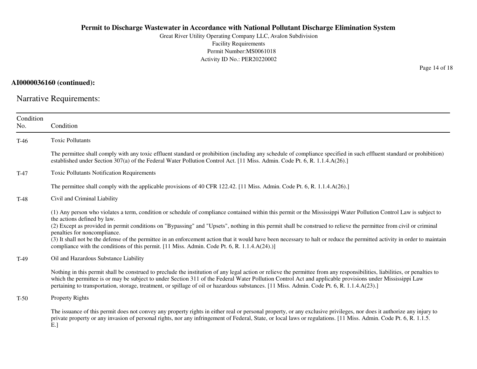Great River Utility Operating Company LLC, Avalon SubdivisionFacility Requirements Permit Number:MS0061018Activity ID No.: PER20220002

### **AI0000036160 (continued):**

Narrative Requirements:

| Condition<br>No. | Condition                                                                                                                                                                                                                                                                                                                                                                                                                                                                                                                                                                                                                                                                            |
|------------------|--------------------------------------------------------------------------------------------------------------------------------------------------------------------------------------------------------------------------------------------------------------------------------------------------------------------------------------------------------------------------------------------------------------------------------------------------------------------------------------------------------------------------------------------------------------------------------------------------------------------------------------------------------------------------------------|
| $T-46$           | <b>Toxic Pollutants</b>                                                                                                                                                                                                                                                                                                                                                                                                                                                                                                                                                                                                                                                              |
|                  | The permittee shall comply with any toxic effluent standard or prohibition (including any schedule of compliance specified in such effluent standard or prohibition)<br>established under Section 307(a) of the Federal Water Pollution Control Act. [11 Miss. Admin. Code Pt. 6, R. 1.1.4.A(26).]                                                                                                                                                                                                                                                                                                                                                                                   |
| $T-47$           | <b>Toxic Pollutants Notification Requirements</b>                                                                                                                                                                                                                                                                                                                                                                                                                                                                                                                                                                                                                                    |
|                  | The permittee shall comply with the applicable provisions of 40 CFR 122.42. [11 Miss. Admin. Code Pt. 6, R. 1.1.4.A(26).]                                                                                                                                                                                                                                                                                                                                                                                                                                                                                                                                                            |
| $T-48$           | Civil and Criminal Liability                                                                                                                                                                                                                                                                                                                                                                                                                                                                                                                                                                                                                                                         |
|                  | (1) Any person who violates a term, condition or schedule of compliance contained within this permit or the Mississippi Water Pollution Control Law is subject to<br>the actions defined by law.<br>(2) Except as provided in permit conditions on "Bypassing" and "Upsets", nothing in this permit shall be construed to relieve the permittee from civil or criminal<br>penalties for noncompliance.<br>(3) It shall not be the defense of the permittee in an enforcement action that it would have been necessary to halt or reduce the permitted activity in order to maintain<br>compliance with the conditions of this permit. [11 Miss. Admin. Code Pt. 6, R. 1.1.4.A(24).)] |
| $T-49$           | Oil and Hazardous Substance Liability                                                                                                                                                                                                                                                                                                                                                                                                                                                                                                                                                                                                                                                |
|                  | Nothing in this permit shall be construed to preclude the institution of any legal action or relieve the permittee from any responsibilities, liabilities, or penalties to<br>which the permittee is or may be subject to under Section 311 of the Federal Water Pollution Control Act and applicable provisions under Mississippi Law<br>pertaining to transportation, storage, treatment, or spillage of oil or hazardous substances. [11 Miss. Admin. Code Pt. 6, R. 1.1.4.A(23).]                                                                                                                                                                                                |
| $T-50$           | <b>Property Rights</b>                                                                                                                                                                                                                                                                                                                                                                                                                                                                                                                                                                                                                                                               |
|                  | The issuance of this permit does not convey any property rights in either real or personal property, or any exclusive privileges, nor does it authorize any injury to<br>private property or any invasion of personal rights, nor any infringement of Federal, State, or local laws or regulations. [11 Miss. Admin. Code Pt. 6, R. 1.1.5.<br>E.                                                                                                                                                                                                                                                                                                                                     |

Page 14 of 18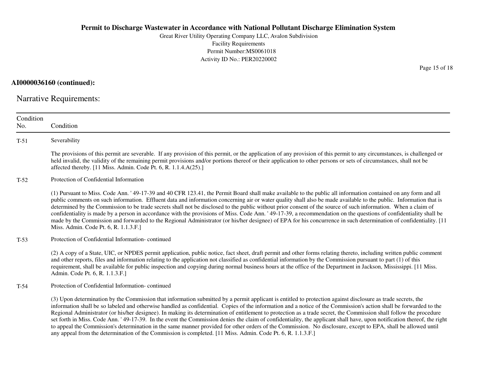Great River Utility Operating Company LLC, Avalon SubdivisionFacility Requirements Permit Number:MS0061018Activity ID No.: PER20220002

**AI0000036160 (continued):**

Narrative Requirements:

| Condition<br>No. | Condition                                                                                                                                                                                                                                                                                                                                                                                                                                                                                                                                                                                                                                                                                                                                                                                                                                                                                                                                                            |
|------------------|----------------------------------------------------------------------------------------------------------------------------------------------------------------------------------------------------------------------------------------------------------------------------------------------------------------------------------------------------------------------------------------------------------------------------------------------------------------------------------------------------------------------------------------------------------------------------------------------------------------------------------------------------------------------------------------------------------------------------------------------------------------------------------------------------------------------------------------------------------------------------------------------------------------------------------------------------------------------|
| $T-51$           | Severability                                                                                                                                                                                                                                                                                                                                                                                                                                                                                                                                                                                                                                                                                                                                                                                                                                                                                                                                                         |
|                  | The provisions of this permit are severable. If any provision of this permit, or the application of any provision of this permit to any circumstances, is challenged or<br>held invalid, the validity of the remaining permit provisions and/or portions thereof or their application to other persons or sets of circumstances, shall not be<br>affected thereby. [11 Miss. Admin. Code Pt. 6, R. 1.1.4.A(25).]                                                                                                                                                                                                                                                                                                                                                                                                                                                                                                                                                     |
| $T-52$           | Protection of Confidential Information                                                                                                                                                                                                                                                                                                                                                                                                                                                                                                                                                                                                                                                                                                                                                                                                                                                                                                                               |
|                  | (1) Pursuant to Miss. Code Ann. '49-17-39 and 40 CFR 123.41, the Permit Board shall make available to the public all information contained on any form and all<br>public comments on such information. Effluent data and information concerning air or water quality shall also be made available to the public. Information that is<br>determined by the Commission to be trade secrets shall not be disclosed to the public without prior consent of the source of such information. When a claim of<br>confidentiality is made by a person in accordance with the provisions of Miss. Code Ann. '49-17-39, a recommendation on the questions of confidentiality shall be<br>made by the Commission and forwarded to the Regional Administrator (or his/her designee) of EPA for his concurrence in such determination of confidentiality. [11<br>Miss. Admin. Code Pt. 6, R. 1.1.3.F.]                                                                            |
| $T-53$           | Protection of Confidential Information-continued                                                                                                                                                                                                                                                                                                                                                                                                                                                                                                                                                                                                                                                                                                                                                                                                                                                                                                                     |
|                  | (2) A copy of a State, UIC, or NPDES permit application, public notice, fact sheet, draft permit and other forms relating thereto, including written public comment<br>and other reports, files and information relating to the application not classified as confidential information by the Commission pursuant to part (1) of this<br>requirement, shall be available for public inspection and copying during normal business hours at the office of the Department in Jackson, Mississippi. [11 Miss.]<br>Admin. Code Pt. 6, R. 1.1.3.F.]                                                                                                                                                                                                                                                                                                                                                                                                                       |
| $T-54$           | Protection of Confidential Information-continued                                                                                                                                                                                                                                                                                                                                                                                                                                                                                                                                                                                                                                                                                                                                                                                                                                                                                                                     |
|                  | (3) Upon determination by the Commission that information submitted by a permit applicant is entitled to protection against disclosure as trade secrets, the<br>information shall be so labeled and otherwise handled as confidential. Copies of the information and a notice of the Commission's action shall be forwarded to the<br>Regional Administrator (or his/her designee). In making its determination of entitlement to protection as a trade secret, the Commission shall follow the procedure<br>set forth in Miss. Code Ann. '49-17-39. In the event the Commission denies the claim of confidentiality, the applicant shall have, upon notification thereof, the right<br>to appeal the Commission's determination in the same manner provided for other orders of the Commission. No disclosure, except to EPA, shall be allowed until<br>any appeal from the determination of the Commission is completed. [11 Miss. Admin. Code Pt. 6, R. 1.1.3.F.] |

Page 15 of 18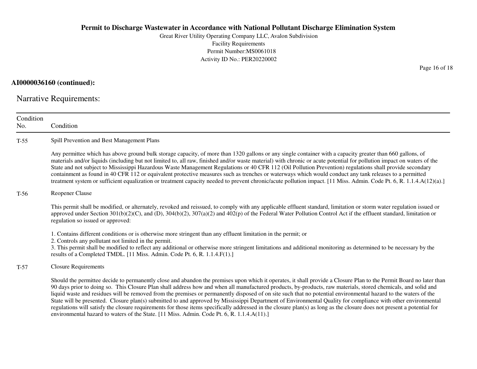Great River Utility Operating Company LLC, Avalon SubdivisionFacility Requirements Permit Number:MS0061018Activity ID No.: PER20220002

#### **AI0000036160 (continued):**

Narrative Requirements:

ConditionNo. ConditionT-55 Spill Prevention and Best Management Plans Any permittee which has above ground bulk storage capacity, of more than 1320 gallons or any single container with a capacity greater than 660 gallons, of materials and/or liquids (including but not limited to, all raw, finished and/or waste material) with chronic or acute potential for pollution impact on waters of theState and not subject to Mississippi Hazardous Waste Management Regulations or 40 CFR 112 (Oil Pollution Prevention) regulations shall provide secondarycontainment as found in 40 CFR 112 or equivalent protective measures such as trenches or waterways which would conduct any tank releases to a permitted treatment system or sufficient equalization or treatment capacity needed to prevent chronic/acute pollution impact. [11 Miss. Admin. Code Pt. 6, R. 1.1.4.A(12)(a).]T-56 Reopener Clause This permit shall be modified, or alternately, revoked and reissued, to comply with any applicable effluent standard, limitation or storm water regulation issued orapproved under Section  $301(b)(2)(C)$ , and  $(D)$ ,  $304(b)(2)$ ,  $307(a)(2)$  and  $402(p)$  of the Federal Water Pollution Control Act if the effluent standard, limitation or regulation so issued or approved:1. Contains different conditions or is otherwise more stringent than any effluent limitation in the permit; or2. Controls any pollutant not limited in the permit. 3. This permit shall be modified to reflect any additional or otherwise more stringent limitations and additional monitoring as determined to be necessary by theresults of a Completed TMDL. [11 Miss. Admin. Code Pt. 6, R. 1.1.4.F(1).]T-57 Closure Requirements Should the permittee decide to permanently close and abandon the premises upon which it operates, it shall provide a Closure Plan to the Permit Board no later than90 days prior to doing so. This Closure Plan shall address how and when all manufactured products, by-products, raw materials, stored chemicals, and solid and liquid waste and residues will be removed from the premises or permanently disposed of on site such that no potential environmental hazard to the waters of the State will be presented. Closure plan(s) submitted to and approved by Mississippi Department of Environmental Quality for compliance with other environmentalregulations will satisfy the closure requirements for those items specifically addressed in the closure plan(s) as long as the closure does not present a potential forenvironmental hazard to waters of the State. [11 Miss. Admin. Code Pt. 6, R. 1.1.4.A(11).]

Page 16 of 18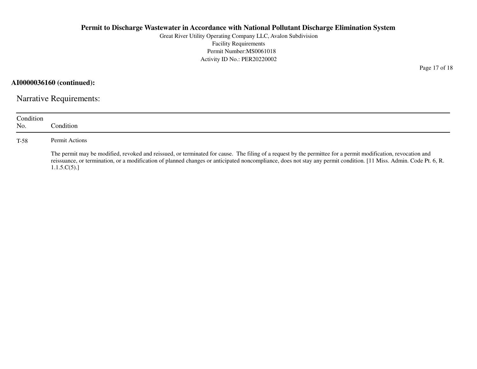Great River Utility Operating Company LLC, Avalon SubdivisionFacility Requirements Permit Number:MS0061018Activity ID No.: PER20220002

**AI0000036160 (continued):**

Narrative Requirements:

| Condition<br>No. | Condition:                                                                                                                                                                                                                                                                                                                                         |  |
|------------------|----------------------------------------------------------------------------------------------------------------------------------------------------------------------------------------------------------------------------------------------------------------------------------------------------------------------------------------------------|--|
| $T-58$           | Permit Actions                                                                                                                                                                                                                                                                                                                                     |  |
|                  | The permit may be modified, revoked and reissued, or terminated for cause. The filing of a request by the permittee for a permit modification, revocation and<br>reissuance, or termination, or a modification of planned changes or anticipated noncompliance, does not stay any permit condition. [11 Miss. Admin. Code Pt. 6, R.<br>1.1.5.C(5). |  |

Page 17 of 18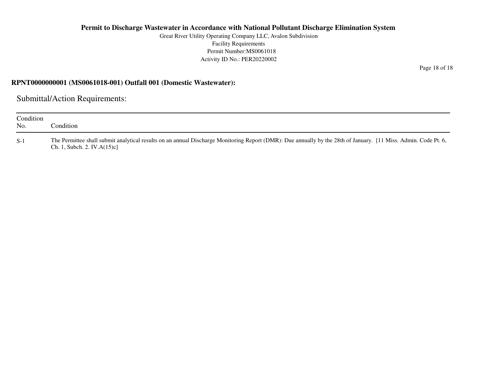Great River Utility Operating Company LLC, Avalon SubdivisionFacility Requirements Permit Number:MS0061018Activity ID No.: PER20220002

**RPNT0000000001 (MS0061018-001) Outfall 001 (Domestic Wastewater):**

Submittal/Action Requirements:

| Condition<br>No. | condition.                                                                                                                                                                                         |
|------------------|----------------------------------------------------------------------------------------------------------------------------------------------------------------------------------------------------|
| $S-1$            | The Permittee shall submit analytical results on an annual Discharge Monitoring Report (DMR): Due annually by the 28th of January. [11 Miss. Admin. Code Pt. 6,<br>Ch. 1, Subch. 2. IV. $A(15)c$ ] |

Page 18 of 18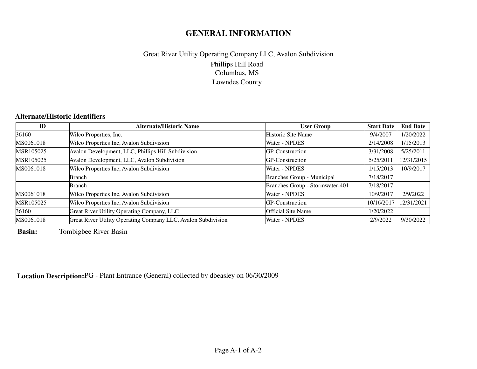# **GENERAL INFORMATION**

## Phillips Hill Road Columbus, MS Lowndes CountyGreat River Utility Operating Company LLC, Avalon Subdivision

### **Alternate/Historic Identifiers**

| ID        | <b>Alternate/Historic Name</b>                                | <b>User Group</b>               | <b>Start Date</b> | <b>End Date</b> |
|-----------|---------------------------------------------------------------|---------------------------------|-------------------|-----------------|
| 36160     | Wilco Properties, Inc.                                        | Historic Site Name              | 9/4/2007          | 1/20/2022       |
| MS0061018 | Wilco Properties Inc, Avalon Subdivision                      | Water - NPDES                   | 2/14/2008         | 1/15/2013       |
| MSR105025 | Avalon Development, LLC, Phillips Hill Subdivision            | GP-Construction                 | 3/31/2008         | 5/25/2011       |
| MSR105025 | Avalon Development, LLC, Avalon Subdivision                   | GP-Construction                 | 5/25/2011         | 12/31/2015      |
| MS0061018 | Wilco Properties Inc, Avalon Subdivision                      | Water - NPDES                   | 1/15/2013         | 10/9/2017       |
|           | <b>Branch</b>                                                 | Branches Group - Municipal      | 7/18/2017         |                 |
|           | Branch                                                        | Branches Group - Stormwater-401 | 7/18/2017         |                 |
| MS0061018 | Wilco Properties Inc, Avalon Subdivision                      | Water - NPDES                   | 10/9/2017         | 2/9/2022        |
| MSR105025 | Wilco Properties Inc, Avalon Subdivision                      | GP-Construction                 | 10/16/2017        | 12/31/2021      |
| 36160     | Great River Utility Operating Company, LLC                    | <b>Official Site Name</b>       | 1/20/2022         |                 |
| MS0061018 | Great River Utility Operating Company LLC, Avalon Subdivision | Water - NPDES                   | 2/9/2022          | 9/30/2022       |

**Basin:**Tombigbee River Basin

**Location Description:**PG - Plant Entrance (General) collected by dbeasley on 06/30/2009